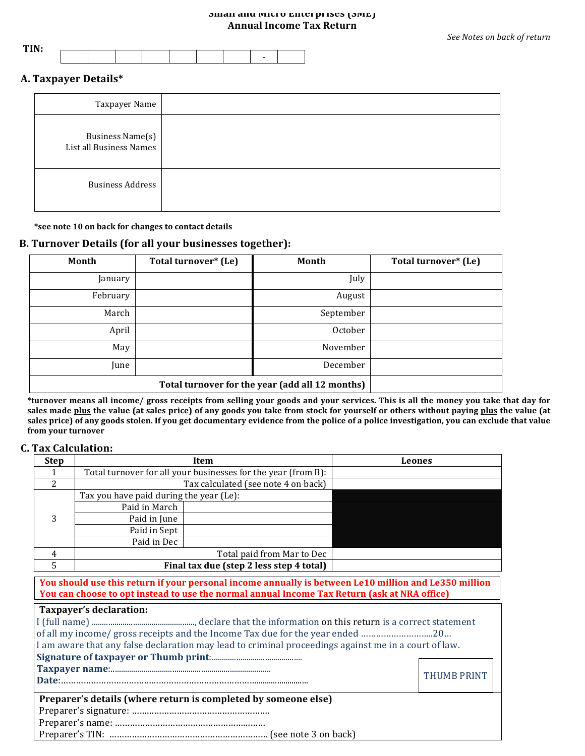### **Small and Micro Enterprises (SME) Annual Income Tax Return**

| <b>DOTE</b> T |  |  |  |   |  |
|---------------|--|--|--|---|--|
|               |  |  |  | - |  |
|               |  |  |  |   |  |

### **A. Taxpayer Details\***

| Taxpayer Name                               |  |
|---------------------------------------------|--|
| Business Name(s)<br>List all Business Names |  |
| <b>Business Address</b>                     |  |

\*see note 10 on back for changes to contact details

### **B. Turnover Details (for all your businesses together):**

| Month    | Total turnover* (Le) | Month     | Total turnover* (Le) |
|----------|----------------------|-----------|----------------------|
| January  |                      | July      |                      |
| February |                      | August    |                      |
| March    |                      | September |                      |
| April    |                      | October   |                      |
| May      |                      | November  |                      |
| June     |                      | December  |                      |
|          |                      |           |                      |

\*turnover means all income/ gross receipts from selling your goods and your services. This is all the money you take that day for sales made plus the value (at sales price) of any goods you take from stock for yourself or others without paying plus the value (at sales price) of any goods stolen. If you get documentary evidence from the police of a police investigation, you can exclude that value **from your turnover**

### **C. Tax Calculation:**

| <b>Step</b> |                                         | Item                                                          | Leones |
|-------------|-----------------------------------------|---------------------------------------------------------------|--------|
|             |                                         | Total turnover for all your businesses for the year (from B): |        |
| 2           |                                         | Tax calculated (see note 4 on back)                           |        |
|             | Tax you have paid during the year (Le): |                                                               |        |
|             | Paid in March                           |                                                               |        |
| 3           | Paid in June                            |                                                               |        |
|             | Paid in Sept                            |                                                               |        |
|             | Paid in Dec                             |                                                               |        |
| 4           |                                         | Total paid from Mar to Dec                                    |        |
|             |                                         | Final tax due (step 2 less step 4 total)                      |        |

**You should use this return if your personal income annually is between Le10 million and Le350 million You can choose to opt instead to use the normal annual Income Tax Return (ask at NRA office)** 

|                                    |  | Taxpayer's declaration: |
|------------------------------------|--|-------------------------|
| $\sim$ $\sim$ $\sim$ $\sim$ $\sim$ |  |                         |

| I am aware that any false declaration may lead to criminal proceedings against me in a court of law. |                    |
|------------------------------------------------------------------------------------------------------|--------------------|
|                                                                                                      |                    |
|                                                                                                      |                    |
|                                                                                                      | <b>THUMB PRINT</b> |
| Preparer's details (where return is completed by someone else)                                       |                    |
|                                                                                                      |                    |
|                                                                                                      |                    |

Preparer's name: ……………………………………………………

Preparer's TIN: ……………………………………………………… (see note 3 on back)